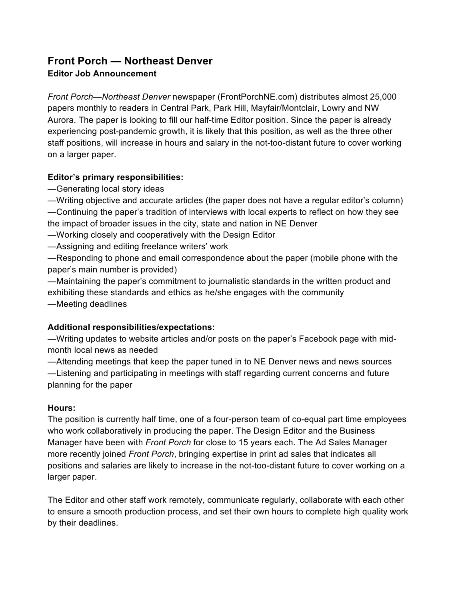# **Front Porch — Northeast Denver**

## **Editor Job Announcement**

*Front Porch—Northeast Denver* newspaper (FrontPorchNE.com) distributes almost 25,000 papers monthly to readers in Central Park, Park Hill, Mayfair/Montclair, Lowry and NW Aurora. The paper is looking to fill our half-time Editor position. Since the paper is already experiencing post-pandemic growth, it is likely that this position, as well as the three other staff positions, will increase in hours and salary in the not-too-distant future to cover working on a larger paper.

## **Editor's primary responsibilities:**

—Generating local story ideas

—Writing objective and accurate articles (the paper does not have a regular editor's column) —Continuing the paper's tradition of interviews with local experts to reflect on how they see the impact of broader issues in the city, state and nation in NE Denver

—Working closely and cooperatively with the Design Editor

—Assigning and editing freelance writers' work

—Responding to phone and email correspondence about the paper (mobile phone with the paper's main number is provided)

—Maintaining the paper's commitment to journalistic standards in the written product and exhibiting these standards and ethics as he/she engages with the community —Meeting deadlines

## **Additional responsibilities/expectations:**

—Writing updates to website articles and/or posts on the paper's Facebook page with midmonth local news as needed

—Attending meetings that keep the paper tuned in to NE Denver news and news sources

—Listening and participating in meetings with staff regarding current concerns and future planning for the paper

#### **Hours:**

The position is currently half time, one of a four-person team of co-equal part time employees who work collaboratively in producing the paper. The Design Editor and the Business Manager have been with *Front Porch* for close to 15 years each. The Ad Sales Manager more recently joined *Front Porch*, bringing expertise in print ad sales that indicates all positions and salaries are likely to increase in the not-too-distant future to cover working on a larger paper.

The Editor and other staff work remotely, communicate regularly, collaborate with each other to ensure a smooth production process, and set their own hours to complete high quality work by their deadlines.